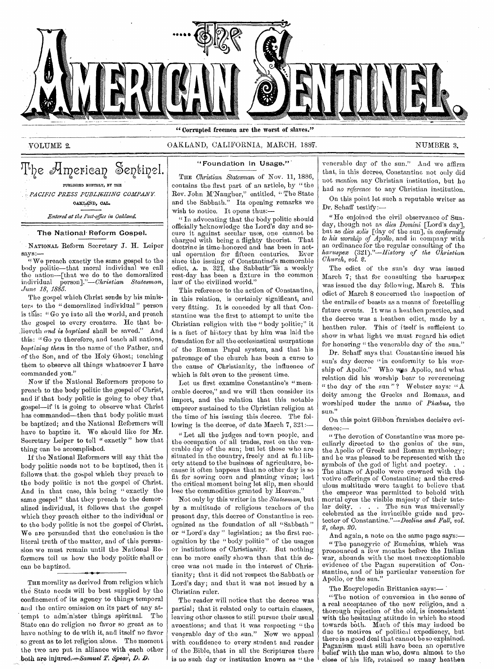

" Corrupted freemen are the worst of slaves."

#### VOLUME 2. OAKLAND, CALIFORNIA, MARCH, 188. NUMBER 3.

The American Sentinel. PUBLISHED MONTHLY, BY THE *"PACIFIC PRESS PUBLI6HING COMPANY.*  0A1c\*Dp *CAL. Entered at the Post-office in Oakland.* 

#### The National' Reform Gospel.

- NATIONAL Reform Secretary J. H. Leiper says:—

We preach exactly the same gospel to the body politic—that moral individual we call the nation—[that we do to the demoralized the nation—[that we do to the demoralized inclividual *person]."—Christian Statesman, Jane 18, 1885.* 

The gospel which Christ sends by his ministers to the " demoralized individual " person is this: " Go yo into all the world, and preach the gospel to every creature. He that beiieveth *and is baptized* shall be saved." And this: " Go ye therefore, and teach all nations, *baptizing them* in the name of the Father, and of the Son, and of the Holy Ghost.; teaching them to observe all things whatsoever I have commanded you."

Now if the National Reformers propose to preach to the body politic the gospel of Christ, and if that body politic is going to obey that gospel—if it is going to observe what Christ has commanded—then that body politic must be baptized; and the National Reformers will have to baptize it. We should like for Mr. Secretary Leiper to tell " exactly " how that thing can be accomplished.

If the National Reformers will say thht the body politic needs not to be baptized, then it follows that: the gospel which they preach to the body politic is not the gospel of Christ. And in that case, this being " exactly the same gospel" that they preach to the demoralized individual, it follows that the gospel which they preach either to the individual or to the body politic is not the gospel of Christ. We are persuaded that the conclusion is the literal truth of the matter, and of this persuasion we must remain until the National Reformers tell us how the body politic shall or can be baptized.

THE morality as derived from religion which the State needs will be best supplied by the confinement of its agency to things temporal and the entire omission on its part of any attempt to adm:nistor things spiritual. The State can do religion no favor so great as to have nothing to do with it, and itself no favor so great as to let religion alone. The moment the two aro put in alliance with each other both are injured. $-Samuel$   $T$ ,  $Spear$ ,  $D$ ,  $D$ ,

### "Foundation in Usage."'

THE *Christian Statesman* of Nov. 11, 1886, contains the first part of an article, by "the Rev. John M'Naugher," entitled, " The State and the Sabbath." Its opening remarks we wish to notice. It opens thus:—

" In advocating that the body politic should officially acknowledge the Lord's day and secure it against secular uses, one cannot be charged with being a flighty theorist. That doctrine is time-honored and has been in actual operation for fifteen centuries. Ever since the issuing of Constantine's memorable edict,  $\Lambda$ . D. 321, the Sabbath- $\tilde{a}$  a weekly rest-day has been a fixture in the common law of the civilized world."

This reference to the action of Constantine, in this relation, is certainly significant, and very fitting. It is conceded by all that Constantine was the first to attempt to unite the Christian religion with the " body politic;" it is a fact of history that by him was laid the foundation for all the ecclesiastical usurpations of the Roman Papal system, and that his patronage of the church has been a curse to the cause of Christianity, the influence of which is felt even to the present time.

Let us first examine Constantine's "memorable decree," and we will then consider its import, and the relation that this notable emperor sustained to the Christian religion at the time of his issuing this decree. The following is the decree, of date March  $7, 321$ :--

"Let all the judges and town people, and the occupation of all trades, rest on the venerable day of the sun; but let those who are situated in the country, freely and at fa.l liberty attend to the business of agriculture, because it often happens that no other day is so fit for sowing corn and planting vines; lest the critical moment being let slip, men should lose the commodities granted by Heaven.'

Not only by this writer in the *Statesman,* but by a multitude of religious teachers of the present day, this decree of Constantine is recognized as the foundation of all "Sabbath " or "Lord's day" legislation; as the first recognition by the " body politic " of the usages or institutions of Christianity. But nothing can be more easily shown than that this decree was not made in the interest of Christianity; that it did not respect the Sabbath or Lord's day; and that it was not issued by a Christian ruler.

The reader will notice that the decree was partial; that it related only to certain classes, leaving other classes to still pursue their usual avocations; and that it was respecting "the venerable day of the sun." Now we appeal with confidence to every student and reader of the Bible, that in all the Scriptures there is no such day or institution known as " the venerable day of the sun." And we affirm that, in this decree, Constantine not only did not *mention* any Christian institution, but he had *no reference* to any Christian institution.

On this point let such a reputable writer as Dr. Schaff testify:—

" He enjoined the civil observance of Sunday, though not as *dies Domini* [Lord's day], but as *dies solis* [day of the sun], *in conformity to his worship of Apollo,* and in company with an ordinance for the regular consulting of the *haruspex (321)."—Ilistory of the Christian Church, vol.* 2.

The edict of the sun's day was issued March 7; that for consulting the haruspex was issued the day following, March 8. This edict of March 8 concerned the inspection of the entrails of beasts as a means of foretelling future events. It was a heathen practice, and the decree was a heathen edict, made by a heathen ruler. This of itself is sufficient to. show in what light we must regard his edict for honoring "the venerable day of the sun."

Dr. Schaff says that Constantine issued his sun's day decree "in conformity to his worship of Apollo." Who was Apollo, and what relation did his worship bear to reverencing " the day of the sun"? Webster says: " $\overline{A}$ deity among the Greeks and Romans, and worshiped under the name of *Phoebus*, the sun."

On this point Gibbon furnishes decisive evidence:—

" The devotion of Constantine was more peculiarly directed to the genius of the sun, the Apollo of Greek and Roman mythology; and he was pleased to be represented with the symbols of the god of light and poetry. The altars of Apollo were crowned with the votive offerings of Constantine; and the credulous multitude were taught to believe that the emperor was permitted to behold with mortal eyes the visible majesty of their tutelar deity. . . . The sun was universally celebrated as the invincible guide and protector of Constantine."—Decline *and Fall, vol. 2, chap. 20.* 

And again, a note on the same page says:—

" The panegyric of Eumenius, which was pronounced a few months before the Italian war, abounds with the most unexceptionable evidence of the Pagan superstition of Constantine, and of his particular veneration for Apollo, or the sun."

The Encyclopedia Brittanica says:—

"The notion of conversion in the sense of a real acceptance of the new religion, and a thorough rejection of the old, is inconsistent with the hesitating attitude in which ho stood towards both. Much of this may indeed be due to motives of political expediency, but there is a good deal that cannot be so explained. Paganism must still have been an operative belief with the man who, down almost to the close of his life, retained so many heathen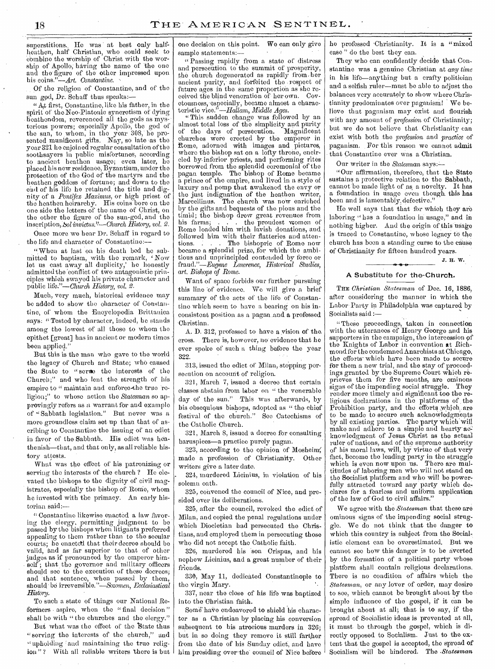superstitions. He was at best only halfheathen, half Christian, who could seek to ebmbine the worship of Christ with the worship of Apollo; having the name of the one and the figure of the other impressed upon his coins."—Art. *Constantine.* 

Of the religion of Constantine, and of the sun god, Dr. Schaff thus speaks:

"Aft first, Constantine, like his father, in the spirit of the Neo-Platonie syncretism of dying heathendom, reverenced all the gods as mysterious powers; especially Apollo, the god of the sun, to whom, in the year 308, he presented munificent gifts. Nay, so late as the year 321 he enjoined regular consultation of the soothsayers in public misfortunes, according to ancient heathen usage; even later, he placed his new residence, Byzantium, under the protection of the God of the martyrs and the heathen goddess of fortune; and down to the end of his life he retained the title and dignity of a *Pontifex Maximus,* or high priest of the heathen heirarchy. His coins bore on the one side the letters of the name of Christ, on the other the figure of the sun-god, and the in scription,'Sol *invictus.'?--Church History, vol. 2.* 

Once more we hear Dr. Schaff in regard to the life and character of Constantine:—

"When at last on his death bed he sab mitted to baptism, with the remark, 'Now let us cast away all duplicity,' he honestly admitted the 'conflict of two antagonistic principles which swayed his private character and public *life."—Church History, vol.* 2.

Much, very much, historical evidence may be added to show the character of Constantine, of whom the Encyclopedia Brittanica says: "Tested by character, indeed, he stands among the lowest of all those to whom the epithet [great] has in ancient or modern times been applied."

But this is the man who gave to the world the legacy of Church and State; who caused the State to "serge the interests of the Church;" and who lent the strength of his empire to " maintain and enforce the true religion;" to whose action the *Statesman* so approvingly refers as a warrant for and example of "Sabbath legislation." But never was a more groundless claim set up than that of ascribing to Constantine the issuing of an edict in favor of the Sabbath. His edict was heathenish—that, and that only, as all reliable-his-<br>tory attests.

What was the effect of his patronizing or serving the interests of the church ? He elevated the bishops to the dignity of civil magistrates, especially the bishop of Rome, whom he invested with the primacy. An early historian said:—

" Constantine likewise enacted a law favoring the clergy, permitting judgment to be passed by the bishops when litigants preferred appealing to them rather than to the secular courts; he enacted that their decree should be valid, and as far superior to that of other judges as if pronounced by the emperor himself; that the governor and military officers should see to the execution of these decrees; and 'that sentence, when passed *by* them, should be irreversible."—Sozomen, *Ecclesiastical History.* 

To such a state of things our National Reformers aspire, when the "final decision" shall be with "the churches and the clergy."

But what was the effect of the State thus " serving the interests of the church," and "upholding 'and maintaining the true religion"? With all reliable writers there is but one decision on this point. We can only give sample statements:

`Passing rapidly from a state of distress and persecution to the summit of prosperity, the church degenerated as rapidly from:her ancient purity, and forfeited the respect of future ages in the same proportion as she received the blind veneration of- her own. Covetousness, especially, became almost a characteristic *vice."—Hallam, Middle Ages.* 

"This sudden change was followed by an almost total loss of the simplicity and purity the days of persecution. Magnificent churches were erected by the emperor in Rome, adorned with images and pictures, where the bishop sat on a lofty throne, encircled by. inferior priests, and performing rites borrowed from the splendid ceremonial of the pagan temple. The bishop of Rome became a prince of the empire, and lived in a style of luxury and pomp that awakened the envy or the just indignation of the heathen writer, Marcellinus. The church was now enriched by the gifts and bequests of the pious and the timid; the bishop drew great revenues from<br>his farms; . . . the proudest women of his farms; . . . . the proudest women of Rome loaded him with lavish donations, and followed him with their flatteries and atten-The bishopric of Rome now became a splendid prize, for which the ambitious and unprincipled contended by force or fraud."—Eugene *Lawrence, Historical Studies,*  art. Bishops of *Rome.* 

Want of space forbids our further pursuing this line 'of evidence. We will give a brief summary of the acts of the life of Constantine which seem to have a bearing on his inconsistent position-as a pagan \_and a professed -Christian.

A. D. 312, professed to have a vision of the. cross. There is, however, no evidence that he ever spoke of such a thing before the year 322.

313, issued the edict of Milan, stopping persecution on account of religion.

321, March 7, issued a decree that certain classes abstain from labor on " the venerable day of the sun." This was afterwards, by his obsequious bishops, adopted as " the chief festival of the church." See Catechisms of the Catholic Church.

321, March 8, issued a decree for consulting haruspices—a practice purely pagan.

323, according to the opinion of Mosheim;<br>ade a profession of Christianity. Other made a profession of Christianity. writers give a later date.

324, murdered Licinius, in violation of his solemn oath.

325, convened the council of Nice, and presided over its deliberations.

325, after the council, revoked the edict of Milan, and copied the penal regulations under which Diocletian had persecuted the Christians, and employed them in persecuting those who did not accept the Catholic faith.

326, murdered his 'son Crispus, and his nephew Lieinius, and a great number of their friends.

330, May 11, dedicated Constantinople to the virgin Mary.

337, near the close of his life was baptized into the Christian faith.

Some' haVe endeavored to shield his character as a Christian by placing his conversion subsequent to his atrocious murders in 326; but in so doing they remove it still farther from the date of his Sunday edict, and have him presiding over the council of Nice before he professed 'Christianity. It is a "mixed case" do the best they can.

They who can confidently decide that Constantine was a genuine Christian at *any time*  in his life—anything but a crafty politician and a selfish ruler—must be able to adjust the balances very accurately to show where.Christianity predominates over paganism! We believe that paganism may exist and flourish with any amount of *profession* of Christianity; but we do not believe that Christianity can exist with both the *profession* and *practice* of paganism. For this reason we cannot admit that Constantine ever was a Christian.

Our writer in the *Statesman* 

"Our affirmation, therefore, that the State sustains a protective relation to the Sabbath, cannot be made light of as a novelty. It has a foundation in usage even though this has been and is lamentably defective."

He well says that that for which they are laboring "has a foundation in usage," and in nothing higher. And the origin of this usage is traced to Constantine, whose legacy to the church has been a standing curse to the cause of Christianity for fifteen hundred years.

J. H. W.

#### A Substitute for the-Church.

THE *Christian Statesman* of Dec. 16, 1886, after considering the manner in which the Labor Party in Philadelphia was captured by Socialists said :—

" These proceedings, taken in connection with the utterances of Henry George and his supporters in the campaign, the intercession of the Knights of Labor in convention at Richmond for the condemned Anarchists at Chicago, the efforts which have been made to secure for them a new trial, and the stay of proceedings granted by the Supremo Court which reprieves them for five months, aro ominous signs of the impending social struggle. They render more timely and significant too the religious declarations in the platforms of the Prohibition party, and the efforts which are to be made to secure such acknowledgments by all existing parties. The party which' will make and adhere to a simple and heartyacknowledgment of Jesus Christ as the actual ruler of nations, and of the supreme authority of his moral laws, will, by virtue of that very fact, become the leading party in the struggle which is even now upon us. There are multitudes of laboring men who will not stand on the Socialist platform and who will be powerfully attracted toward any party which declares for a fearless and uniform application of the law of God to civil affairs."

We agree with the *Statesman* that these are ominous signs of the impending social struggle. We do not think that the danger to which this country is subject from the Socialistic element can be overestimated. But we cannot see how this danger is to be averted by the formation of a political party whose platform shall contain religious declarations. There is no condition of affairs which the *Statesman,* or any lover of order, may desire to see, which cannot be brought about by the simple influence of the gospel, if it can be brought about at all; that is to say, if the spread of Socialistic ideas is prevented at all, it must be through the gospel, which is directly opposed to Socialism. Just to the extent that the gospel is accepted, the spread of Socialism will be hindered. The *.Statesman*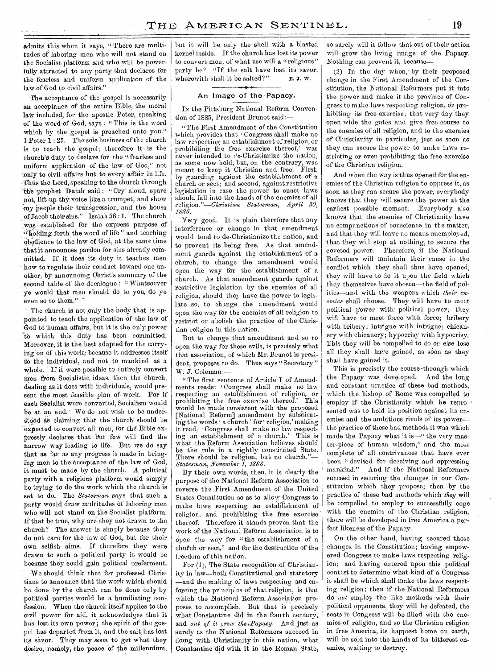admits this when it says, "There are multitudes of laboring men who will not stand on the Socialist platform and who will be powerfully attracted to any party that declares for the .fearless and uniform application of the law.of God to civil affairs."

The acceptance of the gospel is necessarily an acceptance of the entire Bible, the moral law included, for the apostle Peter, speaking of the word of God, says : " This is the word which by the gospel is preached unto you." 1 Peter 1 : 25. The solo business of the church is to teach the gospel; therefore it is the church's duty to declare for the "fearless and uniform application of the law of God," not only to civil affairs but to every affair in life. Thus the Lord, speaking to the church through the prophet Tsaiah said: "Cry aloud, spare not, lift up thy voice like a trumpet, and show my people their transgression, and the house of Jacob their sins." Isaiah 58 :1. The church was established for the express purpose of ":1olding forth the word of life " and teaching obedience to the law of God, at the same time that it announces pardon for sins already committed. If it does its duty it teaches men how to regulate their conduct toward one another, by announcing Christ's summary of the second table of the decalogue : " Whatsoever ye would that men should do to you, do ye even so to them."

The church is not only the body that is appointed to teach the application of the law of God to 'human affairs, but it is the only power to which this duty has been committed. Moreover, it is the best adapted for the carrying 'on of this work; because it addresses itself to the individual, and not to mankind as a whole. If it were possible to entirely convert men from Socialistic ideas, then the church, dealing as it does with individuals, would present the most feasible plan of work. For if each Socialist were converted, Socialism would be at an end. We do not wish to be understood as claiming that the church should be expected to convert all men, for the Bible expressly declares that but few will find the narrow way leading to life. But we do say that as far as any progress is made in bringing men to the acceptance of the law of God, it must be made by the church. A political party with a religious platform would simply be trying to do the work which the church is set to do. The *Statesman* says that such a party would draw multitudes of laboring men who will not stand on the Socialist platform. If that be true, why are they not drawn to the church? The answer is simply because they do not care for the law of God, but for their own selfish aims. If therefore they were drawn to such a political party it would be because they could gain political preferment.

We should think that for professed Christians to announce that the work which should be done by the church can be done only by political parties would be a humiliating confession. When the church itself applies to the civil power for aid, it acknowledges that it has lost its own power; the spirit of the gospel, has departed from it, and the salt, has lost its savor. They may *seem* to get what they desire, namely, the peace of the millennium, but it will be only the shell with a blasted kernel inside. If the church has lost its power to convert men, of what use will a "religious" party be? "If the salt have lost its savor, wherewith-shall it be salted?" E.J. w.

#### An Image of the Papacy.

IN the Pittsburg National Reform Convention of 1885, President Brunot said:—

"The First Amendment of the Constitution which provides that 'Congress shall make no law respecting an establishment of religion, or prohibiting the free exercise thereof;' was never intended to de-Christianize the nation, as some now hold, but, on the contrary, was meant to keep it Christian and free. First, by guarding against the establishment of a church or sect; and second, against restrictive legislation in case the power to enact laws should fall into the hands of the enemies of all<br>religion."—Christian Statesman, April 30, religion."—Christian Statesman, *1885.* 

Very good. It is plain therefore that any interference or change in that amendment would tend to de-Christianize the nation, and to prevent its being free. As that amendment guards against the establishment of a church, to change the amendment would open the way for the establishment of a church. As that amendment guards against restrictive legislation by the enemies of all religion, should they have the power to legislate so, to change the amendment would open the way for the enemies of all religion to restrict or abolish the practice of the Christian religion in this nation.

But to change that amendment and so to open the way for these evils, is precisely what that association, of which Mr. Brunot is president, proposes to do. Thus says "Secretary" W. J. Coleman:—

" The first sentence of Article I of Amendments reads: Congress shall make no law respecting an establishment of religion, or<br>probibiting the free exercise thereof.' This prohibiting the free exercise thereof.' would be made consistent with the proposed [National Reform] amendment by substituting the words 'a church' for 'religion,' making it read, Congress shall make no law respecting an establishment of a church.' This is what the Reform Association believes should be the rule in a rightly constituted State. There should be religion, but no church."-*Statesman, November 1, 1883.* 

By their own words, then, it is clearly the purpose of the National Reform Association to reverse the First Amendment of the United States Constitution so as to allow Congress to make laws respecting an establishment of religion, and prohibiting the free exercise thereof. Therefore it stands proven that the work of the National Reform Association is to open the way for "the establishment of a chufch or sect," and for the destruction of the freedom of this nation.

For (1), The State recognition of Christianity in law—both Constitutional, and statutory -and the making of laws respecting and enforcing the principles of that religion, is that which the National Reform Association proposes to accomplish. But that is precisely what Constantine did in the fourth century, and *out of it grew the Papacy*. And just as surely as the National Reformers succeed in doing with Christianity in this nation, what Constantine did with it in the Roman State,

so surely will it follow that out of their action will grow the living image of the Papacy. Nothing can prevent it, because—

(2) In the clay when,- by their proposed change in the First Amendment of the Constitution, the National Reformers put it into the power and make it the province of Congress to make laws respecting religion, dr prohibiting its free exercise; that very day they open wide the gates and give free course to the enemies of all religion, and to the enemies of Christianity in particular, just as soon as they can secure the power to make laws restricting or even prohibiting the free exercise of the Christian religion.

And when the way is thus opened for the enemies of the Christian religion to oppress it, as soon as they can secure the power, everybody knows that they will secure the power at the earliest possible moment. Everybody also knows that the enemies of Christianity have no compunctions of conscience in the matter, and that they will leave no means unemployed, that they will stop at nothing, to secure the coveted power. Therefore, if the National Reformers will maintain their cause in the conflict which they shall thus have opened, they will have to do it upon the field which they themselves have chosen—the field of politics—and with the weapons which *their enemies* shall choose. They will have to meet political power with political power; they will have to meet force with force; bribery with bribery; intrigue with intrigue; chicanery with chicanery; hypocrisy with hypocrisy. This they will be compelled to do or else lose all they shall have gained, as soon as they shall have gained it.

This is preciscly the course -through which the Papacy was developed.. And the long and constant practice of these bad methods, which the. bishop of Rome was compelled to employ if the Christianity which he represented was to hold its position against its enemies and the ambitious rivals of its power the practice of these bad methods it was which made the Papacy what it is—" the very master-piece of human wisdom," and the most complete of all contrivances that have ever been " devised for deceiving and oppressing<br>mankind." And if the National Reformers And if the National Reformers succeed in securing the changes in our Constitution which they propose; then by the practice of these bad methods-which *they* will be compelled to employ to successfully cope with the enemics of the Christian religion, there will be developed in free America a perfect likeness of the Papacy.

On the other hand, having secured those changes in the Constitution; having empowered Congress to make laws respecting religion; and having entered upon this political contest to determine what kind of a Congress it shall be which shall make the laws respecting religion; then if the National Reformers do *not* employ the like methods with their political opponents, they will be defeated, the seats in Congress will be filled with the enemies of religion, and so the Christian religion in free America, its happiest home on earth,' will be sold into the hands of its bitterest enemies, waiting to destroy.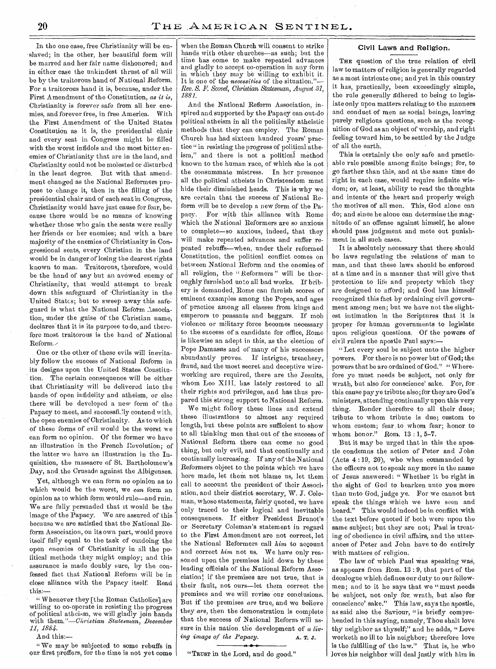In the one case, free Christianity will be enslaved; in the other, her beautiful form will be marred and her fair name dishonored; and in either case the unkindest thrust of all will bo by the traitorous hand of National Reform. For a traitorous hand it is, because, under the First Amendment of the Constitution, *as it is,*  Christianity is forever safe from all her enemies, and forever free, in free America. With the First Amendment of the United States Constitution as it is, the presidential chair and every seat in Congress might be filled with the worst infidels and the most bitter enemies of Christianity that are in the land, and Christianity could not be molested or disturbed in the least degree. But with that amendment changed as the National Reformers propose to change it, then in the filling of the presidential chair and of each seat in Congress, Christianity would have just cause for fear, because there would be no means of knowing whether those who gain the seats were really her friends or her enemies; and with a bare majority of the enemies of Christianity in Congressional seats, every Christian in the land would be in danger of losing the dearest rights known to man. Traitorous, therefore, would be the hand of any but an avowed enemy of Christianity, that would attempt to break down this safeguard of 'Christianity in the United Statcs; but to sweep away this safeguard is what the National Reform Association, under the guise of the Christian name, declares 'that it is its purpose to do, and therefore most traitorous is the hand of National Reform./

One or the other of these evils will inevitably follow the success of National Reform in its designs upon the United States Constitution. The certain consequence will be either that Christianity will be delivered into the hands of open infidelity and atheism, or else there will be developed a new form of the Papacy to meet, and successfully contend with, the open enemies of Christianity. As to which of these forms of evil would be the worst we can form no opinion. Of the former we have an-illustration in the French Revolution; of the latter we have an illustration in the Inquisition, the massacre of St. Bartholomew's Day, and.the Crusade against the Albigenses.

Yet, although we can form no opinion as to which would be the- worst, we *can* form an opinion as to which form would rule—and ruin. We are fully persuaded that it would be the image of the Papacy. We are assured of this because we are satisfied that the National Reform Association, on its own part, would prove itself fully equal to the task of outdoing the open enemies of Christianity in all the political methods they might employ; and this assurance is made doubly sure, by the confessed fact that National Reform will be in close alliance with the Papacy itself. Read this:—

" Whenever they [the Roman Catholics] are willing to co-operate in resisting the progress of political atheism, we will gladly join hands with *them."—Christian Statesman, December 11, 1884.* 

And this:—

" We may be subjected to some rebuffs in our first proffers, for the time is not yet come

when the Roman Church will consent to strike hands with other churches—as such; but the time has come to make repeated advances and gladly to accept co-operation in any form in which they may be willing to exhibit it. It is one of the *necessities* of the situation.' *Rev. S. F. Scovel, Christian Statesman, August 81, 1881.* 

And the National Reform Association, inspired and supported by the Papacy can out-do political atheism in all the politically atheistic methods that they can employ. The Roman Church has had sixteen hundred years' practice " in resisting the progress of political atheism," and there is not a political method known to the human race, of which she is not the consummate mistress. In her presence all the political atheists in Christendom must hide their diminished heads. This is why we are certain that the success of National Reform will be to develop a new form of the Pa-For with this alliance with Rome which the National Reformers are so anxious to complete—so anxious, indeed, that they will make repeated advances and suffer repeated rebuffs—when, under their reformed Constitution, the political conflict comes on between National Reform and the enemies of all religion, the "Reformers" will be thoroughly furnished unto all bad works. If bribery is demanded, Rome can furnish scores of eminent examples among the Popes, and ages of practice among all classes- from kings and emperors to peasants and beggars. If mob violence or military force becomes necessary to the success of a candidate for office, Rome is likewise an adept in this, as the election of Pope Damasus and of many of his successors abundantly proves. If intrigue, treachery, fraud, and the most secret and deceptive wireworking are required, there are the Jesuits, whom Leo XIII. has lately restored to all their rights and privileges, and has thus prepared this strong support to National Reform.

We might follow these lines and extend these illustrations to almost any required length, but these points are sufficient to show to all thinking men that out of the success of National Reform there can come no good thing, but only evil, and that continually and continually increasing. If any of the National Reformers object to the points which we have here made, let them not blame us, let them call to account the president of their Associ, ation, and their district secretary, W. J. Coleman, whose statements, fairly quoted, we have only traced to their logical and inevitable consequences. If either President Brunot's or Secretary Coleman's statement in regard to the First Amendment are not correct, let the National Reformers call  $him$  to account and correct *him* not us. We have only reasoned upon the premises laid- down by these leading officials of the National Reform Association; if the premises are not true, that is their fault, not ours—let them correct the premises and we will revise our conclusions. But if the premises *are* true., and we believe they *are,* then the demonstration is complete that the success of National Reform will assure in this nation. the development of a *living image of the Papacy.* A. T. J.

"TRUST in the Lord, and do good."

#### Civil Laws and Religion.

THE question of the true relation of civil law to matters of religion is generally regarded as a most intricate one; and yet in this country it has, practically, been exceedingly simple, the rule generally adhered to being to legislate only upon matters relating to the manners and conduct of men as social beings, leaving purely religious questions, such as the recognition of God as an object of worship, and right feeling toward him, to be settled by the Judge of all the earth.

This is certainly the only safe and practicable rule possible among finite beings; for, to go farther than this, and at the same time do right in each case, would require infinite wisdom; or, at least, ability to read the thoughts and intents of the heart and properly weigh the motives of all men. This, God alone can do; and since he alone can determine the magnitude of an offense against himself, he alone should pass judgment and mete out punishment in all such cases.

It is absolutely necessary that there should be laws regulating the relations of man to man, and that these laws should be enforced at a time and in a manner that will give that protection to life and property which they are designed to afford; and God has himself recognized this fact by ordaining civil government among men; but we have not the slightest intimation in the Scriptures that it is proper for human governments to legislate upon religious questions. Of the powers of civil rulers the apostle Paul says:—

" Let every soul be subject unto- the higher powers. For there is no power but of God; the powers that be are ordained of God." " Wherefore ye must needs be subject, not only for wrath, but also for conscience' sake. For, for . this cause pay ye tribute also; for they are God's ministers, attending continually upon this very thing. Render therefore to all their dues; tribute to whom tribute is due; custom to whom custom; fear, to whom fear; honor to whom honor." Rom. 13 : 1, 5-7.

But it may be urged that in this the apostle condemns the action of Peter and John (Acts 4 : 19, 20), who when commanded by the officers not to speak any more in the name of Jesus answered: "Whether it be right in the sight of God to hearken unto you more than unto God, judge ye. For we cannot but speak the things which we have seen and heard." This would indeed be in conflict with the text before quoted if- both were upon the same subject; but they are not; Paul is treating of obedience in civil affairs, and the utterances of Peter and John have to do entirely with matters of religion.

The law of which Paul was speaking was, as appears from Rom. 13 : 9, that part of the decalogue which defines our duty to our fellowmen; and to it he says that we " must needs be subject, not only for wrath, but also for conscience' sake." This law, says the apostle, as said also the Saviour, "is briefly comprehended in this saying, namely, Thou shalt love thy neighbor as thyself;" and he adds, "Love worketh no ill to his neighbor; therefore love is the fulfilling of the law." That is, he who loves his neighbor will deal justly with him in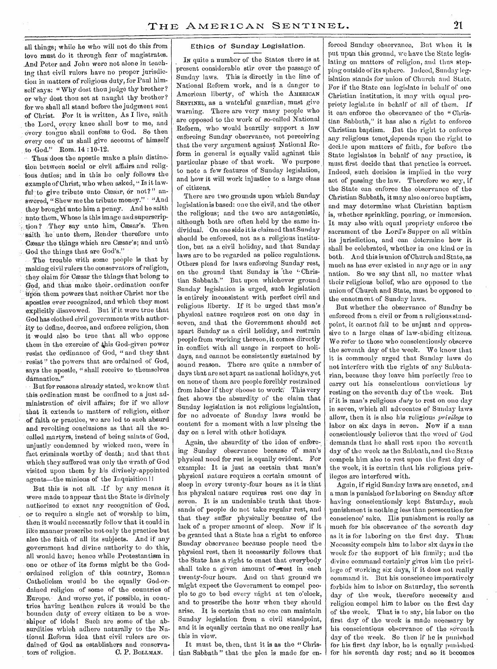all things; while he who will not do this from love must do it through fear of magistrates. And Peter and John were not alone in teaching that civil rulers have no proper jurisdiction in matters of religious duty, for Paul himself says: "Why dost thou judge thy brother? or why dest thou set at naught thy brother? for we shall all stand before the judgment seat of Christ. For it is written, As I live, saith the Lord, every knee shall bow to me, and 'every tongue Shall confess to God. So then every one of us shall give account of himself to ,God.?' Rom. 14 :10-12.

Thus does the apostle make a plain distinction between social or civil affairs and religious duties; and in this he only follows the example of Christ; who when asked, " Is it lawful to give tribute unto Cæsar, or not?" answered, "Shew me the tribute money." • "And they brought unto him a penny. And he saith unto them, Whose is this image and superscription ? . They say unto him, Cæsar's. Then saith he unto them, Render therefore unto Cæsar the things which are Cæsar's; and unto God the things that are God's."

The trouble with some people is that by making civil rulers the conservators of religion, they claim for Cæsar the things that belong to God, and thue make their. ordination confer Upon them powers that neither Christ nor the apostles ever recognized, and which they most explicitly disavowed. But if it were true that God has'elothed civil governments with authority to define, decree, and enforce religion, then it would also be true that all who oppose them in the exercise of this God-given power resist the ordinance of God, " and they that resist" the powers that are ordained of God, says the apostle, " shall receive to themselves damnation."

But for reasons already stated, we know that this. ordination must be confined to a just administration of civil affairs; for if we allow that it extends to matters of religion, either of faith or practice, we are led to such absurd and revolting conclusions as that all the so ealled martyrs, instead of being saints of God, unjustly condemned by wicked men, were in fact criminals worthy of death; and that that Which they suffered was only the wrath of God visited upon them by his divinely-appointed agents—the minions of the Inquisition II

But this is not all. If by any means it were made to appear that the State is divinely authorized to exact any recognition of God, or to require a single act of worship to him, then it would necessarily follow that it could in like manner prescribe not only the practice but also the faith of all its subjects. And if any government had divine authority to do 'this, all would have; hence while Protestantism in ono or other of its forms might be the Godordained religion of this country, Roman Catholicism would bo the equally God-ordained religion of some of the countries of Europe.' And worse yet, if possible, in countries having heathen rulers it would be the bounden duty of every citizen, to be a worshiper of idols! Such are some of the absurdities which adhere naturally to the National. Reform idea that civil rulers are ordained of God as establishers and conserva-<br>tors of religion. C. P. BoLLMAN. tors of religion.

#### Ethics of Sunday Legislation.

IN quite a number of the States there is at present considerable stir over the passage of Sunday laws. This is directly in the lino of National Reform work, and is a danger to American liberty, of which the AMERICAN SENTINEL;as a watchful guardian, must give warning. There are very many people who are opposed to the work of so-called National Reform, who would heartily support a law enforcing Sunday observance, not perceiving that the very argument against National Reform in general is equally valid against this particular phase of that work. We purpose to note a few features of Sunday legislation, and how it will work injustice to a large class of citizens.

There are two grounds upon which Sunday legislation is based: one the civil, and the other the religious; and the two are antagonistic, although both are often held by the same individual. On one side it is claimed that Sunday should be enforced, not as a religious institution, but as a civil holiday, and that Sunday laws are to be regarded as police regulations. Others plead for laws enforcing Sunday rest, on the ground that Sunday is the "Christian Sabbath." But upon whichever ground Sunday legislation is urged, such legislation is entirely inconsistent with perfect civil and religious liberty. If it be urged that man's physical nature requires rest on one day in seven, and that the Government should set apart Sunday as a civil holiday, and restrain people from working thereon, it comes directly in conflict with all usage in respect to holidays, and cannot be consistently sustained by sound reason. There are quite a number of days that are set apart as national holidays, yet on none of them are people forcibly restrained from labor if they choose to work This very fact shows the absurdity of the claim that Sunday legislation is not religious legislation, for no advocate of Sunday laws would be content for a moment with a law placing the day on a level with other holidays.

Again, the absurdity of the idea of enforcing Sunday observance because of man's -physical need for rest is, equally evident. For example: It is just as certain that man's physical nature requires a certain amount of sleep in every twenty-four hours as it is that his physical nature requires rest one day in seven. It is an undeniable truth that thousands of people do not take regular rest, and that they suffer physically because of the lack of a proper amount of sleep. Now if it be granted that a State has a right to enforce Sunday observance because people need the physical rest, then it necessarily follows -that the State has a right to enact that everybody shall take a given amount of  $\rightarrow$ est in each twenty-four hours. And on that ground we might expect the Government to compel people to go to bed every night at ten o'clock, and to prescribe the hour when they should arise. It is certain that no one can maintain Sunday legislation from a civil standpoint, and it is equally certain that no one really has this in view.

It must be, then, that it is as the " Christian Sabbath " that the plea is made for en-

forced Sunday observance. But when it is put upon this ground, we have the State legislating on matters of religion, and thus stepping outside of its sphere. Indeed, Sunday legislation stands for union of Church and State. For if the State can legislate in behalf of ono Christian institution, it may with equal propriety legislate in behalf of all of them. If it can enforce the observance of the " Christian Sabbath," it has also a *right* to enforce Christian baptism. But the right to enforce any religious tenet.depends upon the right to docile upon matters of faith, for before the State legislates in behalf of any practice, it must first decide that that practice is correct. Indeed, such decision is implied in the very act of passing the law. Therefore we say, if the State can enforce the observance of the Christian Sabbath, it may also enforce baptism, and may determine what Christian baptism is, whether sprinkling, pouring, or immersion. It may also with equal propriety enforce the sacrament of the Lord's Supper on all within its jurisdiction, and can determine bow it shall be celebrated, whether in one kind or in both. And this is union of Church and State, as much as has ever existed in any age or in any nation. So we say that all, no matter what their religious belief, who are opposed to the union of Church and State, must be opposed to the enactment of Sunday laws.

But whether the observance of Sunday be enforced from a civil or from a religious standpoint, it cannot fail to be unjust and oppressive to a large class of law-abiding citizens. We refer to those who conscientiously observe the seventh day of the week. We know that it is commonly urged that Sunday laws do not interfere with the rights of any Sabbatarian, because they leave him perfectly free to carry out his conscientious convictions by resting on the seventh day of the week. But if it is man's religious *duty* to rest on one day in seven, which all advocates of Sunday laws allow, then it is also his religious *privilege to*  labor on six days in seven. Now if a man conscientiously believes that the word of God demands that he shall rest upon the seventh day of the week as the Sabbath, and the State compels him also to rest upon the first day of the week, it is certain that his religious privileges are interfered with.

Again, if rigid Sunday laws are enacted, and a man is punished for laboring on Sunday after having conscientiously kept Saturday, such punishment is nothing less-than persecution for conscience' sake. His punishment is really as much for his observance of the seventh day as it is for laboring on the first day. Thus: Necessity compels him to labor six days in the week for the support of his family; and the divine command certainly gives him the privilege of working six days, if it does not really command it. But his conscience imperatively forbids him to labor on Saturday, the seventh day of the week, therefore necessity and religion compel him to labor on the first day of the week. That is to say, his labor on the first day of the week is made necessary by his conscientious observance of the seventh day of the week. So then if he is punished for his first day labor, he is equally punishedfor his seventh day rest; and so it becomes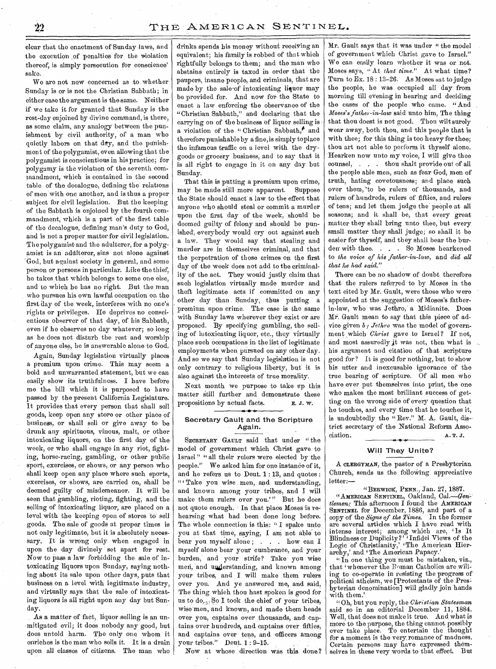clear that the enactment of Sunday laws, and the execution of penalties for the violation thereof, is simply persecution for conscience' sake.

We are not now concerned as to whether Sunday is or is not the Christian Sabbath; in either case the argument is the same. Neither if we take it for granted that Sunday is the rest-day enjoined by divine command, is there, as some claim, any analogy between the punishment by civil authority, of a man who quietly labors on that day, and the punishment of the polygamist, even allowing that the polygamist is conscientious in his practice; for polygamy is the violation of the seventh commandment, which is contained in the second table of the decalogue, defining the relations of men with one another, and is thus a proper subject for civil legislation. But the keeping of the Sabbath is enjoined by the fourth commandment, which is a part of the first table of the decalogue, defining man's duty to God, and is not a proper matter for civil legislation. The polygamistand the adulterer, for a polygamist is an adulterer, sins not alone against God, but against society in general, and some person or persons in particular. Like the thief, he takes, that which belongs to some one else, and to which he has no right. But the man who pursues his own lawful occupation on the first day of the week, interferes with no one's rights or privileges. He deprives no conscientious observer of that day, of his Sabbath, even if he observes no day whatever; so long as he does not disturb the rest and worship of anyone else, he is answerable alone to God.

Again, Sunday legislation virtually places a premium upon crime. This may seem a bold and unwarranted statement, but we can easily show its truthfulness. I have before me the bill which it is purposed to have passed by the present California Legislature. It provides that every person that shall sell goods, keep open any store or other place of business, or shall sell or give away to be drunk any spirituous, vinous, malt, or other intoxicating liquors, on the first day of the week, or who shall engage in any riot, fighting, horse-racing, gambling, or other public sport, exercises, or shows, or any person who shall keep open any place where such sports, exercises, or shows, are carried on, shall be deemed guilty of misdemeanor. It will be seen that gambling, rioting, fighting, and the selling of intoxicating liquor, are placed on a level with the keeping open of stores to' sell goods. The sale of goods at proper times is not only legitimate, but it is absolutely necessary. It is wrong only when engaged in upon the day divinely' set apart for rest. Now to pass a law forbidding the sale of intoxicating liquors upon Sunday, saying nothing about its sale upon other days, puts that business on a level with legitimate industry, and virtually says that the sale of intoxicating liquors is all right upon any day but Sunday.

As a matter of fact, liquor selling is an un- •mitigated evil; it does nobody any good, but does untold harm. The only one whom it enriches is the man who sells it. It is a drain upon all classes of citizens. The man who drinks spends his money without receiving an equivalent; his family is robbed of that which rightfully belongs to them; and the man who abstains entirely is taxed in order that the paupers, insane people, and criminals, that are made by the sale-of intoxicating liquor may be provided for. And now for the State to enact a law enforcing the observance of the "Christian Sabbath," and declaring that the carrying on of the business of liquor selling is a violation of the "Christian Sabbath," and therefore punishable by a fine, is simply toplace the infamous traffic on a level with the drygoods or grocery business, and to say that it is all right to engage in it on any day but Sunday.

That this is putting a premium upon crime, may be made still more apparent. Suppose the State should enact a law to the effect that anyone who should steal or commit a murder upon the first day of the week, should be deemed guilty of felony and should be punished, everybody would cry out against such a law. They would say that stealing and murder are in themselves criminal, and that the perpetration of those crimes on the first day of the week does not add to the criminality of the act. They would justly claim that such legislation virtually made murder and theft legitimate acts if committed on any other day than Sunday, thus putting a premium upon crime. The case is the same with Sunday laws wherever they exist or are proposed. By specifying gambling, the selling of intoxicating liquor, etc., they virtually place such occupations in the list of legitimate employments when, pursued on any other day. And so we say that Sunday legislation is not only contrary to religious liberty, but it is also against the interests of true morality.

Next month we purpose to take up this matter still further and demonstrate these propositions by actual facts. E. J. W.

#### Secretary Gault and the Scripture Again.

SECRETARY GAULT said that under "the model of government which Christ gave to Israel " " all their rulers were elected by the people." We asked him for one instance of it, and he refers us to Dent. 1 : 13, and quotes : " Take you wise men, and understanding, and known among your tribes, and I will make them rulers over you.'" But he does not quote enough. In that place Moses is rehearsing what had been done long before. The whole connection is this: "I spake unto you at that time, saying, I am not able to bear you myself alone; . . . how can I myself alone bear your cumbrance, and your burden, and your strife? Take you wise men, and understanding, and known among your tribes, and I will make them rulers over you. And ye answered me, and said, The thing which thou bast spoken is good for us to do. So I took the chief of your tribes, wise men, and known, and made them heads over you, captains over thousands, and captains over hundreds, and captains over fifties, and captains over tens, and officers among your tribes." Deut. 1 : 9-15.

Now at whose direction was this done?

Mr. Gault says that it was under " the model of government which Christ gave to Israel." We can easily learn whether it was or not. Moses says, "At *that time.*" At what time? Turn to Ex. 18 : 13-26. As Moses sat to judge the people, he was occupied all day from morning till evening in bearing and deciding the cases of the people who came. "And *Moses's father-in-law* said unto him, The thing that thou doest is not good. Thou wilt surely wear away, both thou, and this people that is with thee; for this thing is too heavy for thee; thou art not able to perform it thyself alone. Hearken now unto my voice, I will give thee counsel, . . . thou shalt provide out of all the people able men, such as fear God, men of truth, hating covetousness; and place such over them, to be rulers of thousands, and rulers of hundreds, rulers of fifties, and rulers of tens; and let them judge the people at all seasons; and it shall be, that every great matter they shall bring unto thee, but every small matter they shall judge; so shall it be easier for thyself, and they shall bear the burden with thee. . . . So Moses hearkened to *the voice of his father-in-law,* and *did all that he had said."* 

There can be no shadow of doubt therefore that the rulers referred to by Moses in the text cited by Mr. Gault, were those who were appointed at the suggestion of Moses's fatherin-law, who was Jethro, a Midianite. Does Mr. Gault mean to say that this piece of advice given *b y Jethro* was the model of government which *Christ* gave to Israel? If not, and most assuredly it was not, then what is his argument and citation of that scripture good for? It is good for nothing, but to show his utter and inexcusable ignorance of the true bearing of scripture. Of all men who have ever put themselves into print, the one who makes the most brilliant success of getting on the wrong side of every question that he touches, and every time that he touches it, is undoubtedly the "Rev." M. A. Gault, district secretary of the National Reform Association. A. T. J.

#### Will They Unite?

A CLERGYMAN, the pastor of a Presbyterian Church, sends us the following appreciative letter:—

"BERWICK, PENN., Jan. 27, 1887. "AMERICAN SENTINEL, Oakland, *Cal.—Gentlemen:* This afternoon I found the AMERICAN SENTINEL for December, 1886, and part of a copy of the *Signs of the Times.* In the former are several articles which I have read with intense interest; among which are, 'Is It Blindness or Duplicity?' Infidel Views of the Logic of Christianity,' 'The American Hierarchy,' and 'The American Papacy.'

" In one thing you must be mistaken, viz., that 'whenever the Roman Catholics are willing to co-operate in resisting the progress of political atheism, we [Protestants of the Presbyterian denomination] will gladly join hands with them.'

"Oh, but you reply, the *Christian Statesman*  said so in an editorial December 11, 1884. Well, that does not make it true. And what is more to the purpose, the thing cannot possibly ever take place. To entertain the thought for a moment is the very romance of madness. Certain persons may have expressed themselves in these very words to that effect. But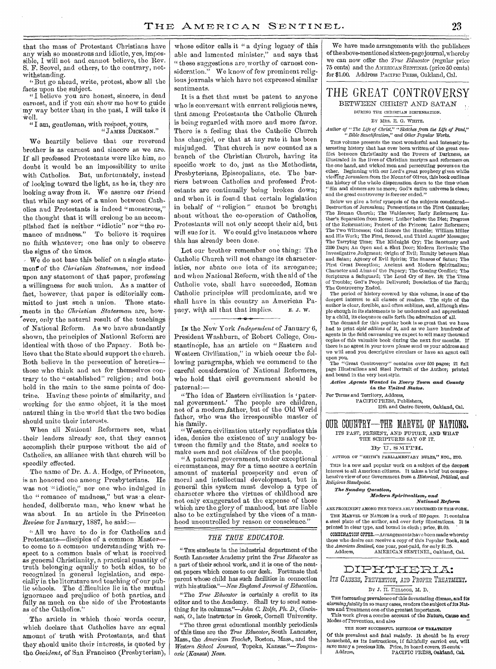that the mass of Protestant Christians have any wish so monstrous and idiotic, yes, impossible, I will not and cannot believe, the Rev. S. F. Scovel, and others, to the contrary, notwithstanding.

"But go ahead, write, protest, show all the facts upon the subject.

"I believe you aro honest, sincere, in dead earnest, and if you can show me how to guide my way better than in the past, I will take it well.

#### "I am, gentleman, with respect, yours, "JAMES DICKSON."

WO heartily believe that our reverend brother is as earnest and sincere as we are. If all professed Protestants were like him, no doubt it would be an impossibility to unite with Catholics. But, unfortunately, instead of looking toward the light, as he is, they are looking away from it. We assure our friend that while any sort of a union between Oath olies and Protestants is indeed "monstrous," the thought that it will erelong be an accom plishod fact is neither "idiotic" nor "the romance of madness." To believe it requires no faith whatever; one has only to observe the signs of the times.

We 'do not base this belief on a single statement' of the *Christian Statesman,'* nor indeed upon any statement of that paper, professing 'a willingness for such union. As a matter of fact, however, that paper is editorially committed to just such a union. These statemitted to just such a union. These state-<br>ments in the *Christian Statesman* are, how-<br>ever, only the natural result of the teachings over, only the natural result of the teachings of National Reform. As we have abundantly shown, the principles of National Reform are. identical with those of the Papacy. - Both believe that the State should support the church. Both believe in the persecution of heretics-those who think and act for themselves contrary to the "established" religion; and both hold in the main to the same points of doctrine.. Having these points of similarity, and working for the same object, it is the most natural thing in the world that the two bodies should unite their interests.

When all National Reformers see, what their leaders already see, that they cannot accomplish their purpose without the aid of Catholics, an alliance with that church will be speedily effected.

The name of Dr. A. A. Hodge, of Princeton, is an honored one among Presbyterians. He was not "idiotic," nor one who indulged in the " romance of madness," but was a clearheaded, deliberate man, who knew what he Was about. In an article in the Princeton *Review* for January, 1887, he said:— .

" All we have to do is for Catholics and Protestants—disciples of a common Master to come to a common understanding with respect to a common basis of what is received. as general Christianity, a practical quantity of truth belonging equally to both sides, to be recognized in general legislation, and especially in the literature and teaching of our public schools. The difficulties lie in the mutual ignorance and prejudice of both parties, and fully as much on the side of the Protestants as of the Catholics."

The article in which these words occur, which declare' that Catholics have an equal amount of truth with Protestants, and that they should unite their interests, is quoted by the, *Occident,* of San Francisco (Presbyterian), whose editor calls it " a dying legacy of this able and lamented minister," and says that "these suggestions are worthy of earnest consideration." We know of few prominent religious journals- which have not expressed similar sentiments.

It is a fact that must be patent to anyone who is conversant with current religious news, that among Protestants the Catholic Church is being regarded with more and more favor. There is a feeling that the Catholic Church has changed, or that at any rate it has been misjudged. That church is now counted as a branch of the Christian Church, having its specific work to do, just as the Methodists, Presbyterians, Episcopalians, etc. The barriers' between Catholics and professed Protestants are continually being broken down; and when it is found that certain legislation in behalf of "religion" cannot be brought about without the co-operation of Catholics, Protestants will not only accept their aid, but will sue for it. We could give instances where this has already been done.

Let our brother remember one thing: The Catholic Church will not change its characteristies, nor abate one iota of its arrogance; and when National Reform, with the aid of the Catholic vote, shall have succeeded, Roman Catholic principles will predominate, and we shall have in this country an American Papacy, with all that that implies. E. J. W.

IN the New York */Independent* of January 6, President Washburn, of Robert College, Constantinople, has an article on "Eastern and Western Civilization," in which occur the following paragraphs, which we commend to the careful consideration 'of National Reformers, who hold that civil government should be paternal:—

"The idea of Eastern civilization is 'paternal government.' The people are children, not of a modern father, but of the Old World father, who was the irresponsible master of his family.

"Western civilization utterly repudiates this idea, denies the existence of any analogy between the family and the State, and seeks to make *men* and not *children* of the people.

"A paternal government, under exceptional circumstances, may for a time secure a certain amount of material prosperity and even of moral and intellectual development, but in general this system must develop a type of character where the virtues of childhood are not only exaggerated at the expense of those which are the glory of manhood, but are liable also to be extinguished by the vices of a manhood uncontrolled by reason or conscience."

#### *THE TRUE EDUCATOR.*

"THE students in the industrial department of the South Lancaster Academy print the *True Educator* as a part of their school work, and it is one of the neatest papers which comes to our desk. Fortunate that parent whose child has such facilities in connection with his studies."—New *England Journal of Education.* 

"The *True Educator* is certainly a credit to its editor and to the Academy. Shall try to send something for its columns."—John *C. Rolfe, Ph. D., Cincinnati,* 0., late instructor in Greek, Cornell University.

"The three great educational monthly periodicals of this time are the *True Educator,* South Lancaster, Mass., the *American Teachel',* Boston, Mass., and the *Western School Journal,* Topeka, Kansas *"—Tonganoxie (Kansas) News.* 

We have made arrangements with the publishers of the above-mentioned sixteen-page journal, whereby we can now offer the *True Educator* (regular price 75 cents) and the AMERICAN SENTINEL (price 50 cents) for \$1.00. Address PACIFIC PRESS, Oakland, Cal.

# THE GREAT CONTROVERSY

## BETWEEN CHRIST AND SATAN

DURING THE CHRISTIAN DISPENSATION. BY MRS. E. G. WHITE.

*Author of "The Life of Christ," "Sketches from the Life of Paul," " Bible Sanctification," and Other Popular Works.* 

THIS volume presents the most wonderful and intensely interesting history that has ever been written of the great conflict between Christianity and the Powers of Darkness, as illustrated in the lives of Christian martyrs and reformers on the one hand, and wicked men and persecuting powers on the other. Beginning with our Lord's great prophecy given while viming Jerusalem *from* the Mount *of* Olives, this book outlines the history of the whole dispensation down to the time when " Sin and sinners arc no more; God's entire universe is clean; and the great controversy is forever ended."

Below we give a brief synopsis of the subjects considered— Destruction of Jerusalem; Persecutions in the First Centuries; The Roman Church; The Waldenses; Early Reformers; Luther's Separation from Rome; Luther before the Diet; Progress of the Reformation; Protest of the Princes; Later Reformers; The Two Witnesses; God Honors the Humble; William Miller and His Work; The First, Second, and Third Angels' Messages; The Tarrying Time; The Midnight Cry; The Sanctuary and 2300 Days; An Open and a Shut Door; Modern Revivals; The Investigative Judgment; Origin of Evil; Enmity between Man and Satan; Agency of Evil Spirits; The Snares of Satan; The First Great Deception; Ancient and Modern Spiritualism; Character and Aims of the Papacy; The Coming Conflict; The Scriptures a Safeguard; The Loud Cry of Rev. 18; The of Trouble; God's People Delivered; Desolation of the Earth; The Controversy Ended.

The period of history covered by this volume, is one of the deepest interest to all classes of readers. The style of the author is clear, forcible, and often sublime, and, although simple enough in its statements to be understood and appreciated by a child, its eloquence calls forth the admiration of all.

The demand for this popular book is so great that we have had to print *eight editions* of it, and as we have hundreds of agents in the field canvassing we expect to sell many thousand copies of this valuable book during the next few months. If there is no agent in your town please send us your address and we will send you descriptive circulars or have an agent call upon you.

The "Great Controversy" contains over 500 pages; 21 full page Illustrations and Steel Portrait of the Author; printed and bound in the very best style.

*Active Agents Wanted in Every Town. and County in the 'United States.* 

For Terms and Territory, Address, PACIFIC PRESS, Publishers,

12th and Castro Streets, Oakland, Cal.

#### OUR COUNTRY-THE MARVEL OF NATIONS. ITS PAST, PRESENT, AND FUTURE, AND WHAT THE SCRIPTURES SAY OF IT.

By U. SMITH.

AUTHOR OF "SMITH'S PARLIAMENTARY RULES," ETC., ETC. Tnis is a new and popular work on a subject of the deepest interest to all American citizens. It takes a brief but comprehensive view of our Government from a *Historical, Political, and Religious Standpoint.* 

## *The Sunday Question,*

*Modern, Spiritualism, and* 

*National Reform,* 

ARE PROMINENT AMONG THE TOPICS ABLY DISCUSSED IN THIS WORK, THE MARVEL OF NATIONS is a work of 300 pages. It contains a steel plate of the author, and over forty illustrations. It is printed in clear type, and bound in cloth ; price, \$1.00. COMBINATION OFFER.—Arrangements have been made whereby

those who desire can receive a copy of this Popular Book, and the *American Sentinel,* one year, post-paid, for only \$1.25. Address, AMERICAN SENTINEL, Oakland, Cal.

# DIPHTHERIA:

ITS CAUSES, PREVENTION, AND PROPER TREATMENT.

#### BY J. II. III.1000, M. D.

THE increasing prevalence of this devastating disease, and its *alarming fatality* in so many cases, renders the subject of its Nat-ure and Treatment one of the greatest importance.

This work gives a concise account of the Nature, Cause and Modes of Prevention, and also THE MOST SUCCESSFUL METHODS OF TREATMENT

Of this prevalent and fatal malady. It should be in every household, as its Instructions, if faithfully carried out, Will save many a precious life. Price, in board covers, *25* cents; - Address. PACIFIC PRESS, Oakland, Cal.